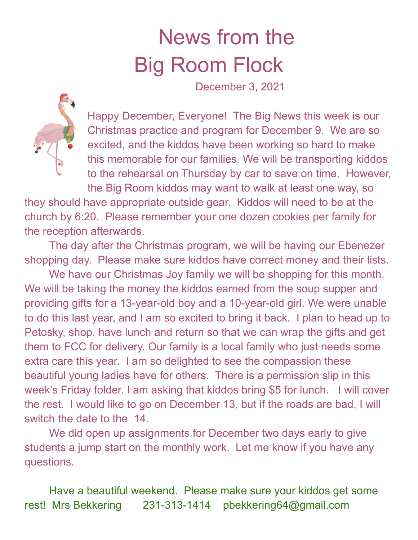## News from the Big Room Flock

December 3, 2021



Happy December, Everyone! The Big News this week is our Christmas practice and program for December 9. We are so excited, and the kiddos have been working so hard to make this memorable for our families. We will be transporting kiddos to the rehearsal on Thursday by car to save on time. However, the Big Room kiddos may want to walk at least one way, so

they should have appropriate outside gear. Kiddos will need to be at the church by 6:20. Please remember your one dozen cookies per family for the reception afterwards.

The day after the Christmas program, we will be having our Ebenezer shopping day. Please make sure kiddos have correct money and their lists.

We have our Christmas Joy family we will be shopping for this month. We will be taking the money the kiddos earned from the soup supper and providing gifts for a 13-year-old boy and a 10-year-old girl. We were unable to do this last year, and I am so excited to bring it back. I plan to head up to Petosky, shop, have lunch and return so that we can wrap the gifts and get them to FCC for delivery. Our family is a local family who just needs some extra care this year. I am so delighted to see the compassion these beautiful young ladies have for others. There is a permission slip in this week's Friday folder. I am asking that kiddos bring \$5 for lunch. I will cover the rest. I would like to go on December 13, but if the roads are bad, I will switch the date to the 14.

We did open up assignments for December two days early to give students a jump start on the monthly work. Let me know if you have any questions.

Have a beautiful weekend. Please make sure your kiddos get some rest! Mrs Bekkering 231-313-1414 pbekkering64@gmail.com